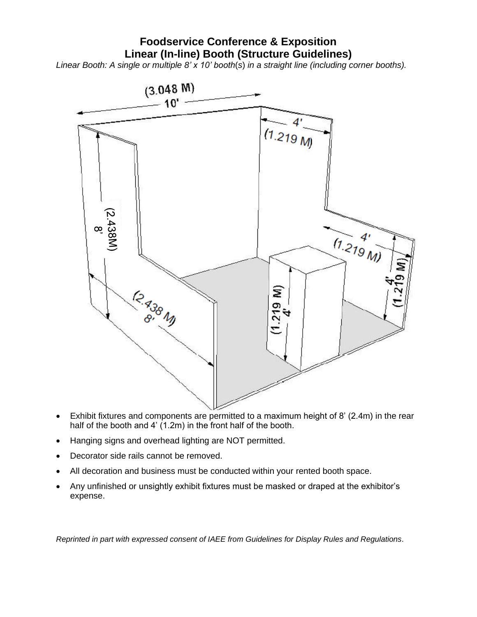# **Foodservice Conference & Exposition Linear (In-line) Booth (Structure Guidelines)**

*Linear Booth: A single or multiple 8' x 10' booth*(*s*) *in a straight line (including corner booths).*



- Exhibit fixtures and components are permitted to a maximum height of 8' (2.4m) in the rear half of the booth and 4' (1.2m) in the front half of the booth.
- Hanging signs and overhead lighting are NOT permitted.
- Decorator side rails cannot be removed.
- All decoration and business must be conducted within your rented booth space.
- Any unfinished or unsightly exhibit fixtures must be masked or draped at the exhibitor's expense.

*Reprinted in part with expressed consent of IAEE from Guidelines for Display Rules and Regulations.*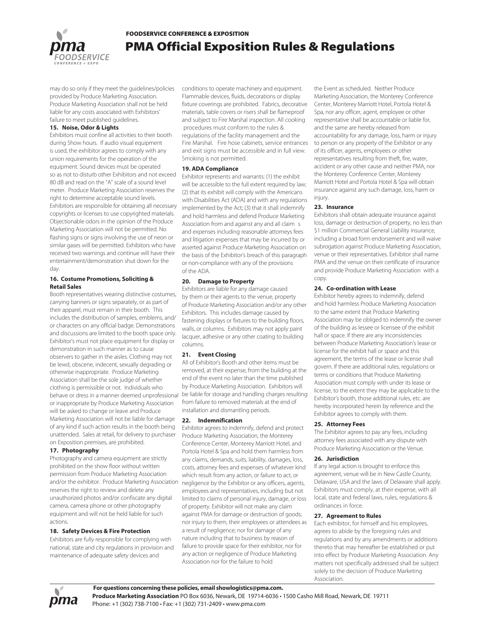FOODSERVICE CONFERENCE & EXPOSITION

# **118 Official Exposition Rules & Regulations**

may do so only if they meet the guidelines/policies provided by **XX** hall not be held li able for any costs associated with Exhibitors' failure to meet published guidelines.

# **Noise, Odor & Lights**

Exhibitors must confine all activities to their booth during Show hours. If audio visual equipment is used, the exhibitor agrees to comply with any union requirements for the operation of the equipment. Sound devices must be operated so as not to disturb other Exhibitors and not exceed 80 dB and read on the "A" scale of a sound level meter. **XX** eserves the right to determine acceptable sound levels. Exhibitors are responsible for obtaining all necessary copyrights or licenses to use copyrighted materials. Objectionable odors in the opinion of the PA will not be permitted. No flashing signs or signs involving the use of neon or similar gases will be permitted. Exhibitors who have received two warnings and continue will have their entertainment/demonstration shut down for the day.

## **Costume Promotions, Soliciting & Retail Sales**

Booth representatives wearing distinctive costumes, carrying banners or signs separately, or as part of their apparel, must remain in their booth. This includes the distribution of samples, emblems, and/ or characters on any official badge. Demonstrations and discussions are limited to the booth space only. Exhibitor's must not place equipment for display or demonstration in such manner as to cause observers to gather in the aisles. Clothing may not be lewd, obscene, indecent, sexually degrading or otherwise inappropriate. **XX**hall be the sole judge of whether clothing is permissible or not. Individuals who behave or dress in a manner deemed unprofessional or inappropriate by **XX10** will be asked to change or leave and **XII** Will not be liable for damage of any kind if such action results in the booth being unattended. Sales at retail, for delivery to purchaser on Exposition premises, are prohibited.

# **Photography**

Photography and camera equipment are strictly prohibited on the show floor without written permission from **104** and/or the exhibitor. **100** reserves the right to review and delete any unauthorized photos and/or confiscate any digital camera, camera phone or other photography equipment and will not be held liable for such actions.

 **Safety Devices & Fire Protection** Exhibitors are fully responsible for complying with national, state and city regulations in provision and maintenance of adequate safety devices and

conditions to operate machinery and equipment. Flammable devices, fluids, decorations or display fixture coverings are prohibited. Fabrics, decorative materials, table covers or risers shall be flameproof and subject to Fire Marshal inspection. All cooking procedures must conform to the rules & regulations of the facility management and the Fire Marshal. Fire hose cabinets, service entrances and exit signs must be accessible and in full view. Smoking is not permitted.

### **19. ADA Compliance**

Exhibitor represents and warrants: (1) the exhibit will be accessible to the full extent required by law; (2) that its exhibit will comply with the Americans with Disabilities Act (ADA) and with any regulations implemented by the Act; (3) that it shall indemnify and hold harmless and defend  $\boxtimes$  from and against any and all claim s and expenses including reasonable attorneys fees and litigation expenses that may be incurred by or asserted against XX on the basis of the Exhibitor's breach of this paragraph or non-compliance with any of the provisions of the ADA.

#### **Damage to Property**

Exhibitors are liable for any damage caused by them or their agents to the venue, property of **XX** and/or any other Exhibitors. This includes damage caused by fastening displays or fixtures to the building floors, walls, or columns. Exhibitors may not apply paint lacquer, adhesive or any other coating to building columns.

## **Event Closing**

All of Exhibitor's Booth and other items must be removed, at their expense, from the building at the end of the event no later than the time published by **XI1**  $\boxtimes$ . Exhibitors will be liable for storage and handling charges resulting from failure to removed materials at the end of installation and dismantling periods.

#### **Indemnification**

**22.1** Exhibitor agrees to indemnify, defend and protect XX the Monterey Conference Center, Monterey Marriott Hotel, and Portola Hotel & Spa and hold them harmless from any claims, demands, suits, liability, damages, loss, costs, attorney fees and expenses of whatever kind which result from any action, or failure to act, or negligence by the Exhibitor or any officers, agents, employees and representatives, including but not limited to claims of personal injury, damage, or loss of property. Exhibitor will not make any claim against **XX** for damage or destruction o f goods; nor injury to them, their employees or attendees as a result of negligence; nor for damage of any nature including that to business by reason of failure to provide space for their exhibitor, nor for any action or negligence of **XX** or for the failure to hold

the Event as scheduled. Neither  $\mathbb{X}$ 12, the Monterey Conference Center, Monterey Marriott Hotel, Portola Hotel & Spa, nor any officer, agent, employee or other representative shall be accountable or liable for, and the same are hereby released from accountability for any damage, loss, harm or injury to person or any property of the Exhibitor or any of its officer, agents, employees or other representatives resulting from theft, fire, water, accident or any other cBVTF BOE OF IFS **180180PS UF . POUFSF&POGFSFOD\$FOUFS** 

POUFSFØSSØUU)PUFMBOE1PSUPMBPUFM **B X MMPCUBOOTVSBODFBHBOTUBOWDIEBNBHF** MPTTB SN PSMOKVSM

&**XXIXPSBTTVNFTBMMSXXLTBTTPDBUFE XX** U SFTVMUØGSPNPSBSØØHØDPOOFDU **ZO KI** BUIFOEBODEBUUIF&WFOUBOEPS**RISUMMURO M** &WFOUSFMBEFBDU**MMMTMDMVFMHXMUPVU MNBBUROBMMSMLTPGUIFGUMRESN EBN BHF MINHOTP STINLOFTTINDMVENOHUPTFDBVTFE CX ZOGDUØVTPSDPNNVOZOBCMFEZFBTFTVDI BT SOX BRANCE PS PUIFSIMMOFTTPNM** DBVFE OX WANTFTPSKOKVSKOPUIF KOFSTPO **SODMVEIOHEFBU PSIZ SPIZEUKERNBHF | ZUFUIFS** DB/TFE CZOFHAMHFODFAZUFOU AZOBMBDADDAFOU BDUPG(PEPSPUIFSIXFBOEXEUIFS PDDVSKAH CFGPSFEVSØHPSBGUFSUIF&WFOUST UF DBTFNBØ CF **XIFSFHXUSBOUBMTPBHSFFTUIBOFXUIFSXX** OPS**INTBHFOUTPGGINESTENFDUPSNEN CFST** DPOUSBDUPSTPSFN**ØMPEFTTI BMKCFMBCMGPSBODFTT** T**ROLOFTTPS KOKVSKT UPUIF RIFSTPO ØDMVEØHEFBU PSMPTTPSEBNBHFUP ØSPØS** SFTVMU**INGSPNPDDVSSINHBUPSBSINNHPVUPGUF** &WDUPSBO**Z**WFOUSFMBUFEBDU**MMET@SBO KOEKEDU KOLKEFOU JRJADPOTERVEOU KIMIOXAM** *XVOXWFPSFXNXIBSXBNBHFTBOESFMFBTFTBO F* EXTOBSHFTTVDIXSTPOTBOEFOUXIXTGSPN BOE DPVFOBOUTOPUUPTVFTVDIKSTPOTBOEFOUX KIT **X XUISFT XOUUPBOXOEBMMSXLTXOKVSKT MATTFT** EBNBHFTBOEM**ECMMØRTEFTDSKIFEIFSFKO** 

#### **Insurance**

Exhibitors shall obtain adequate insurance against loss, damage or destruction of property, no less than \$1 million Commercial General Liability insurance, including a broad form endorsement and will waive subrogation against **XX** enue or the ir representatives. Exhibitor shall name  $\mathbb{X}\mathbb{X}$  and the venue on their certificate of insurance and provide **XXX** with a copy.

#### **Co-ordination with Lease**

Exhibitor hereby agrees to indemnify, defend and hold harmless  $\boxtimes$  regulations & ordinances in force.